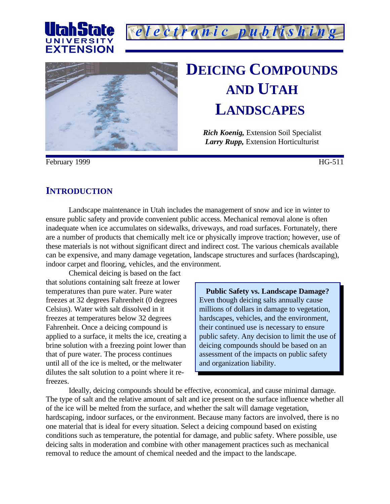





# **DEICING COMPOUNDS AND UTAH LANDSCAPES**

*Rich Koenig,* Extension Soil Specialist *Larry Rupp,* Extension Horticulturist

February 1999 HG-511

## **INTRODUCTION**

Landscape maintenance in Utah includes the management of snow and ice in winter to ensure public safety and provide convenient public access. Mechanical removal alone is often inadequate when ice accumulates on sidewalks, driveways, and road surfaces. Fortunately, there are a number of products that chemically melt ice or physically improve traction; however, use of these materials is not without significant direct and indirect cost. The various chemicals available can be expensive, and many damage vegetation, landscape structures and surfaces (hardscaping), indoor carpet and flooring, vehicles, and the environment.

Chemical deicing is based on the fact that solutions containing salt freeze at lower temperatures than pure water. Pure water freezes at 32 degrees Fahrenheit (0 degrees Celsius). Water with salt dissolved in it freezes at temperatures below 32 degrees Fahrenheit. Once a deicing compound is applied to a surface, it melts the ice, creating a brine solution with a freezing point lower than that of pure water. The process continues until all of the ice is melted, or the meltwater dilutes the salt solution to a point where it refreezes.

**Public Safety vs. Landscape Damage?** Even though deicing salts annually cause millions of dollars in damage to vegetation, hardscapes, vehicles, and the environment, their continued use is necessary to ensure public safety. Any decision to limit the use of deicing compounds should be based on an assessment of the impacts on public safety and organization liability.

Ideally, deicing compounds should be effective, economical, and cause minimal damage. The type of salt and the relative amount of salt and ice present on the surface influence whether all of the ice will be melted from the surface, and whether the salt will damage vegetation, hardscaping, indoor surfaces, or the environment. Because many factors are involved, there is no one material that is ideal for every situation. Select a deicing compound based on existing conditions such as temperature, the potential for damage, and public safety. Where possible, use deicing salts in moderation and combine with other management practices such as mechanical removal to reduce the amount of chemical needed and the impact to the landscape.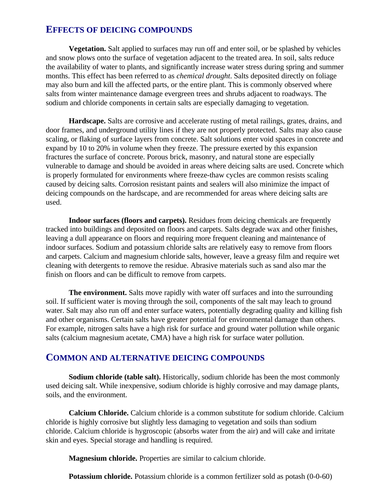### **EFFECTS OF DEICING COMPOUNDS**

**Vegetation.** Salt applied to surfaces may run off and enter soil, or be splashed by vehicles and snow plows onto the surface of vegetation adjacent to the treated area. In soil, salts reduce the availability of water to plants, and significantly increase water stress during spring and summer months. This effect has been referred to as *chemical drought*. Salts deposited directly on foliage may also burn and kill the affected parts, or the entire plant. This is commonly observed where salts from winter maintenance damage evergreen trees and shrubs adjacent to roadways. The sodium and chloride components in certain salts are especially damaging to vegetation.

**Hardscape.** Salts are corrosive and accelerate rusting of metal railings, grates, drains, and door frames, and underground utility lines if they are not properly protected. Salts may also cause scaling, or flaking of surface layers from concrete. Salt solutions enter void spaces in concrete and expand by 10 to 20% in volume when they freeze. The pressure exerted by this expansion fractures the surface of concrete. Porous brick, masonry, and natural stone are especially vulnerable to damage and should be avoided in areas where deicing salts are used. Concrete which is properly formulated for environments where freeze-thaw cycles are common resists scaling caused by deicing salts. Corrosion resistant paints and sealers will also minimize the impact of deicing compounds on the hardscape, and are recommended for areas where deicing salts are used.

**Indoor surfaces (floors and carpets).** Residues from deicing chemicals are frequently tracked into buildings and deposited on floors and carpets. Salts degrade wax and other finishes, leaving a dull appearance on floors and requiring more frequent cleaning and maintenance of indoor surfaces. Sodium and potassium chloride salts are relatively easy to remove from floors and carpets. Calcium and magnesium chloride salts, however, leave a greasy film and require wet cleaning with detergents to remove the residue. Abrasive materials such as sand also mar the finish on floors and can be difficult to remove from carpets.

**The environment.** Salts move rapidly with water off surfaces and into the surrounding soil. If sufficient water is moving through the soil, components of the salt may leach to ground water. Salt may also run off and enter surface waters, potentially degrading quality and killing fish and other organisms. Certain salts have greater potential for environmental damage than others. For example, nitrogen salts have a high risk for surface and ground water pollution while organic salts (calcium magnesium acetate, CMA) have a high risk for surface water pollution.

#### **COMMON AND ALTERNATIVE DEICING COMPOUNDS**

**Sodium chloride (table salt).** Historically, sodium chloride has been the most commonly used deicing salt. While inexpensive, sodium chloride is highly corrosive and may damage plants, soils, and the environment.

**Calcium Chloride.** Calcium chloride is a common substitute for sodium chloride. Calcium chloride is highly corrosive but slightly less damaging to vegetation and soils than sodium chloride. Calcium chloride is hygroscopic (absorbs water from the air) and will cake and irritate skin and eyes. Special storage and handling is required.

**Magnesium chloride.** Properties are similar to calcium chloride.

**Potassium chloride.** Potassium chloride is a common fertilizer sold as potash (0-0-60)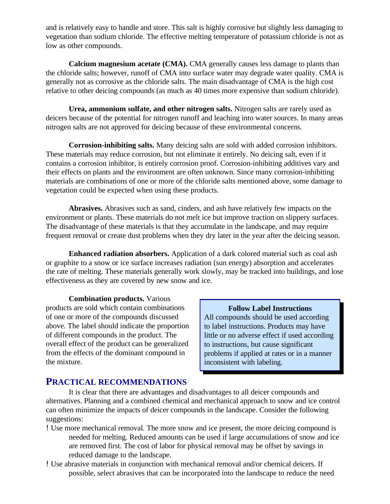and is relatively easy to handle and store. This salt is highly corrosive but slightly less damaging to vegetation than sodium chloride. The effective melting temperature of potassium chloride is not as low as other compounds.

**Calcium magnesium acetate (CMA).** CMA generally causes less damage to plants than the chloride salts; however, runoff of CMA into surface water may degrade water quality. CMA is generally not as corrosive as the chloride salts. The main disadvantage of CMA is the high cost relative to other deicing compounds (as much as 40 times more expensive than sodium chloride).

**Urea, ammonium sulfate, and other nitrogen salts.** Nitrogen salts are rarely used as deicers because of the potential for nitrogen runoff and leaching into water sources. In many areas nitrogen salts are not approved for deicing because of these environmental concerns.

**Corrosion-inhibiting salts.** Many deicing salts are sold with added corrosion inhibitors. These materials may reduce corrosion, but not eliminate it entirely. No deicing salt, even if it contains a corrosion inhibitor, is entirely corrosion proof. Corrosion-inhibiting additives vary and their effects on plants and the environment are often unknown. Since many corrosion-inhibiting materials are combinations of one or more of the chloride salts mentioned above, some damage to vegetation could be expected when using these products.

**Abrasives.** Abrasives such as sand, cinders, and ash have relatively few impacts on the environment or plants. These materials do not melt ice but improve traction on slippery surfaces. The disadvantage of these materials is that they accumulate in the landscape, and may require frequent removal or create dust problems when they dry later in the year after the deicing season.

**Enhanced radiation absorbers.** Application of a dark colored material such as coal ash or graphite to a snow or ice surface increases radiation (sun energy) absorption and accelerates the rate of melting. These materials generally work slowly, may be tracked into buildings, and lose effectiveness as they are covered by new snow and ice.

**Combination products.** Various products are sold which contain combinations of one or more of the compounds discussed above. The label should indicate the proportion of different compounds in the product. The overall effect of the product can be generalized from the effects of the dominant compound in the mixture.

**Follow Label Instructions**

All compounds should be used according to label instructions. Products may have little or no adverse effect if used according to instructions, but cause significant problems if applied at rates or in a manner inconsistent with labeling.

### **PRACTICAL RECOMMENDATIONS**

It is clear that there are advantages and disadvantages to all deicer compounds and alternatives. Planning and a combined chemical and mechanical approach to snow and ice control can often minimize the impacts of deicer compounds in the landscape. Consider the following suggestions:

- !Use more mechanical removal. The more snow and ice present, the more deicing compound is needed for melting. Reduced amounts can be used if large accumulations of snow and ice are removed first. The cost of labor for physical removal may be offset by savings in reduced damage to the landscape.
- !Use abrasive materials in conjunction with mechanical removal and/or chemical deicers. If possible, select abrasives that can be incorporated into the landscape to reduce the need